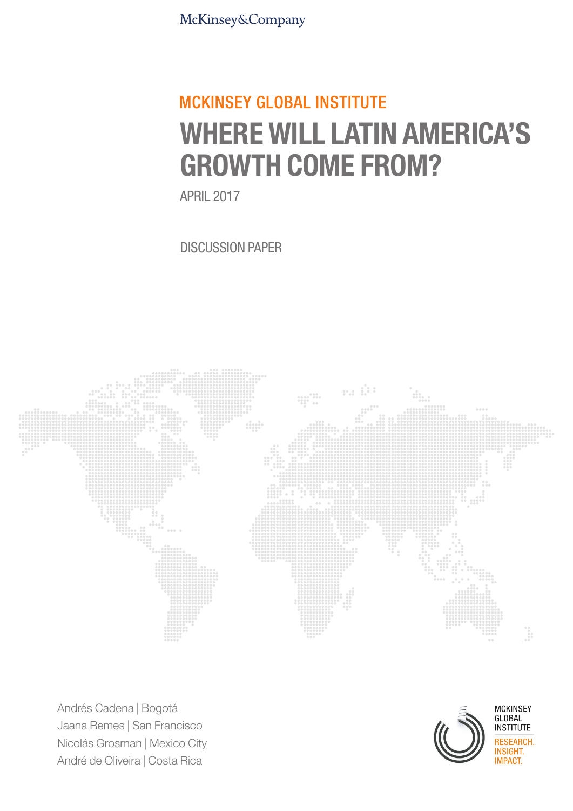McKinsey&Company

# **MCKINSEY GLOBAL INSTITUTE** WHERE WILL LATIN AMERICA'S GROWTH COME FROM?

APRIL 2017

DISCUSSION PAPER



Andrés Cadena | Bogotá Jaana Remes | San Francisco Nicolás Grosman | Mexico City André de Oliveira | Costa Rica



MCKINSEY<br>GLOBAL<br>INSTITUTE EARCH.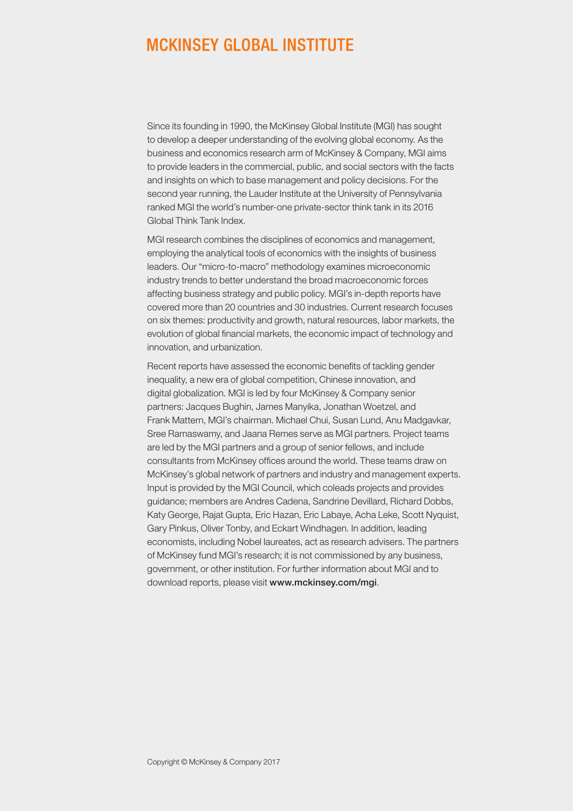## **MCKINSEY GLOBAL INSTITUTE**

Since its founding in 1990, the McKinsey Global Institute (MGI) has sought to develop a deeper understanding of the evolving global economy. As the business and economics research arm of McKinsey & Company, MGI aims to provide leaders in the commercial, public, and social sectors with the facts and insights on which to base management and policy decisions. For the second year running, the Lauder Institute at the University of Pennsylvania ranked MGI the world's number-one private-sector think tank in its 2016 Global Think Tank Index.

MGI research combines the disciplines of economics and management, employing the analytical tools of economics with the insights of business leaders. Our "micro-to-macro" methodology examines microeconomic industry trends to better understand the broad macroeconomic forces affecting business strategy and public policy. MGI's in-depth reports have covered more than 20 countries and 30 industries. Current research focuses on six themes: productivity and growth, natural resources, labor markets, the evolution of global financial markets, the economic impact of technology and innovation, and urbanization.

Recent reports have assessed the economic benefits of tackling gender inequality, a new era of global competition, Chinese innovation, and digital globalization. MGI is led by four McKinsey & Company senior partners: Jacques Bughin, James Manyika, Jonathan Woetzel, and Frank Mattern, MGI's chairman. Michael Chui, Susan Lund, Anu Madgavkar, Sree Ramaswamy, and Jaana Remes serve as MGI partners. Project teams are led by the MGI partners and a group of senior fellows, and include consultants from McKinsey offices around the world. These teams draw on McKinsey's global network of partners and industry and management experts. Input is provided by the MGI Council, which coleads projects and provides guidance; members are Andres Cadena, Sandrine Devillard, Richard Dobbs, Katy George, Rajat Gupta, Eric Hazan, Eric Labaye, Acha Leke, Scott Nyquist, Gary Pinkus, Oliver Tonby, and Eckart Windhagen. In addition, leading economists, including Nobel laureates, act as research advisers. The partners of McKinsey fund MGI's research; it is not commissioned by any business, government, or other institution. For further information about MGI and to download reports, please visit [www.mckinsey.com/mgi](http://www.mckinsey.com/mgi).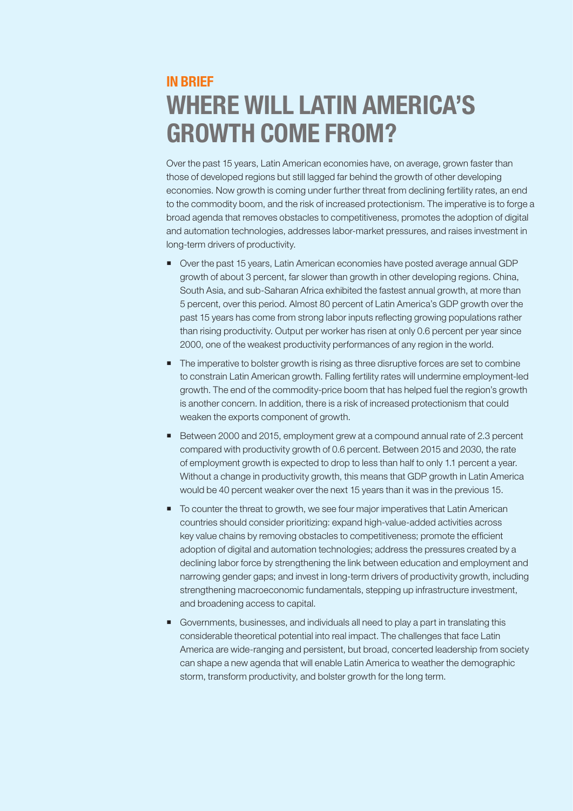## **IN RRIFF** WHERE WILL LATIN AMERICA'S GROWTH COME FROM?

Over the past 15 years, Latin American economies have, on average, grown faster than those of developed regions but still lagged far behind the growth of other developing economies. Now growth is coming under further threat from declining fertility rates, an end to the commodity boom, and the risk of increased protectionism. The imperative is to forge a broad agenda that removes obstacles to competitiveness, promotes the adoption of digital and automation technologies, addresses labor-market pressures, and raises investment in long-term drivers of productivity.

- Over the past 15 years, Latin American economies have posted average annual GDP growth of about 3 percent, far slower than growth in other developing regions. China, South Asia, and sub-Saharan Africa exhibited the fastest annual growth, at more than 5 percent, over this period. Almost 80 percent of Latin America's GDP growth over the past 15 years has come from strong labor inputs reflecting growing populations rather than rising productivity. Output per worker has risen at only 0.6 percent per year since 2000, one of the weakest productivity performances of any region in the world.
- **The imperative to bolster growth is rising as three disruptive forces are set to combine** to constrain Latin American growth. Falling fertility rates will undermine employment-led growth. The end of the commodity-price boom that has helped fuel the region's growth is another concern. In addition, there is a risk of increased protectionism that could weaken the exports component of growth.
- Between 2000 and 2015, employment grew at a compound annual rate of 2.3 percent compared with productivity growth of 0.6 percent. Between 2015 and 2030, the rate of employment growth is expected to drop to less than half to only 1.1 percent a year. Without a change in productivity growth, this means that GDP growth in Latin America would be 40 percent weaker over the next 15 years than it was in the previous 15.
- To counter the threat to growth, we see four major imperatives that Latin American countries should consider prioritizing: expand high-value-added activities across key value chains by removing obstacles to competitiveness; promote the efficient adoption of digital and automation technologies; address the pressures created by a declining labor force by strengthening the link between education and employment and narrowing gender gaps; and invest in long-term drivers of productivity growth, including strengthening macroeconomic fundamentals, stepping up infrastructure investment, and broadening access to capital.
- Governments, businesses, and individuals all need to play a part in translating this considerable theoretical potential into real impact. The challenges that face Latin America are wide-ranging and persistent, but broad, concerted leadership from society can shape a new agenda that will enable Latin America to weather the demographic storm, transform productivity, and bolster growth for the long term.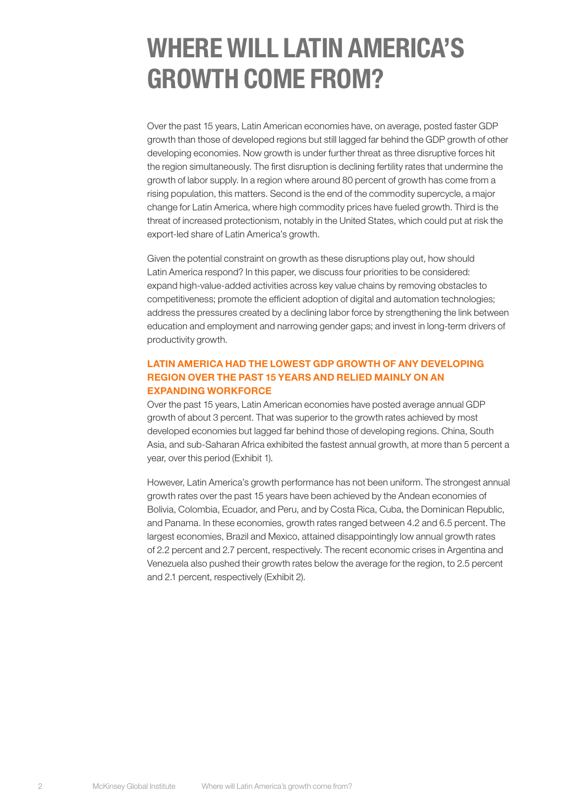## WHERE WILL LATIN AMERICA'S GROWTH COME FROM?

Over the past 15 years, Latin American economies have, on average, posted faster GDP growth than those of developed regions but still lagged far behind the GDP growth of other developing economies. Now growth is under further threat as three disruptive forces hit the region simultaneously. The first disruption is declining fertility rates that undermine the growth of labor supply. In a region where around 80 percent of growth has come from a rising population, this matters. Second is the end of the commodity supercycle, a major change for Latin America, where high commodity prices have fueled growth. Third is the threat of increased protectionism, notably in the United States, which could put at risk the export-led share of Latin America's growth.

Given the potential constraint on growth as these disruptions play out, how should Latin America respond? In this paper, we discuss four priorities to be considered: expand high-value-added activities across key value chains by removing obstacles to competitiveness; promote the efficient adoption of digital and automation technologies; address the pressures created by a declining labor force by strengthening the link between education and employment and narrowing gender gaps; and invest in long-term drivers of productivity growth.

## LATIN AMERICA HAD THE LOWEST GDP GROWTH OF ANY DEVELOPING REGION OVER THE PAST 15 YEARS AND RELIED MAINLY ON AN EXPANDING WORKFORCE

Over the past 15 years, Latin American economies have posted average annual GDP growth of about 3 percent. That was superior to the growth rates achieved by most developed economies but lagged far behind those of developing regions. China, South Asia, and sub-Saharan Africa exhibited the fastest annual growth, at more than 5 percent a year, over this period (Exhibit 1).

However, Latin America's growth performance has not been uniform. The strongest annual growth rates over the past 15 years have been achieved by the Andean economies of Bolivia, Colombia, Ecuador, and Peru, and by Costa Rica, Cuba, the Dominican Republic, and Panama. In these economies, growth rates ranged between 4.2 and 6.5 percent. The largest economies, Brazil and Mexico, attained disappointingly low annual growth rates of 2.2 percent and 2.7 percent, respectively. The recent economic crises in Argentina and Venezuela also pushed their growth rates below the average for the region, to 2.5 percent and 2.1 percent, respectively (Exhibit 2).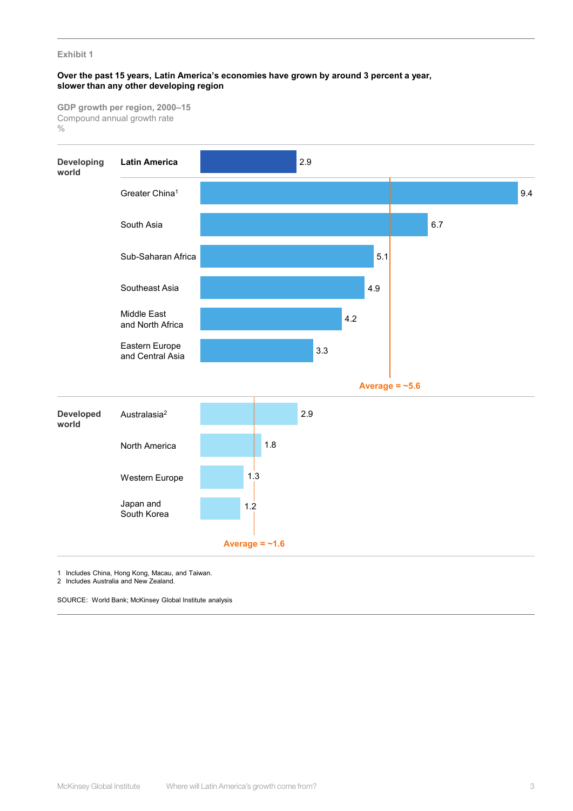## **Over the past 15 years, Latin America's economies have grown by around 3 percent a year, slower than any other developing region**

**GDP growth per region, 2000–15**  Compound annual growth rate  $\frac{0}{0}$ 



1 Includes China, Hong Kong, Macau, and Taiwan.

2 Includes Australia and New Zealand.

SOURCE: World Bank; McKinsey Global Institute analysis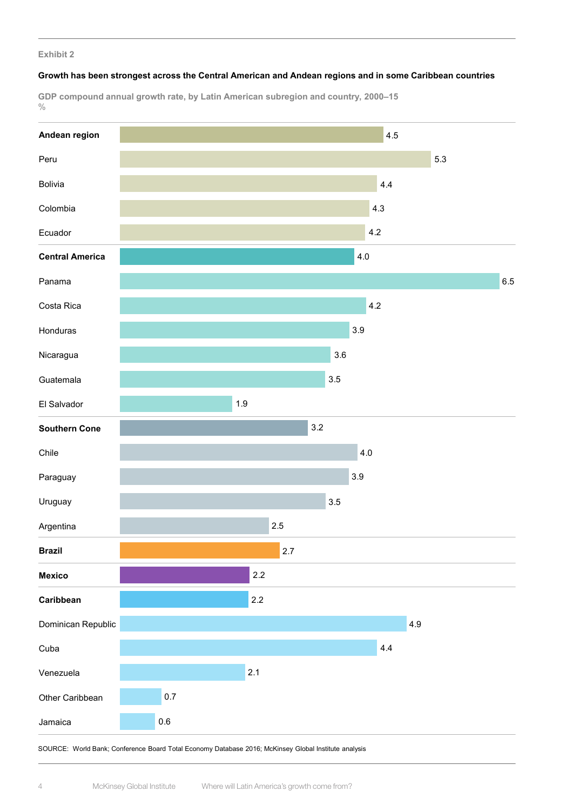## **Growth has been strongest across the Central American and Andean regions and in some Caribbean countries**

**GDP compound annual growth rate, by Latin American subregion and country, 2000–15**  $\frac{0}{0}$ 



SOURCE: World Bank; Conference Board Total Economy Database 2016; McKinsey Global Institute analysis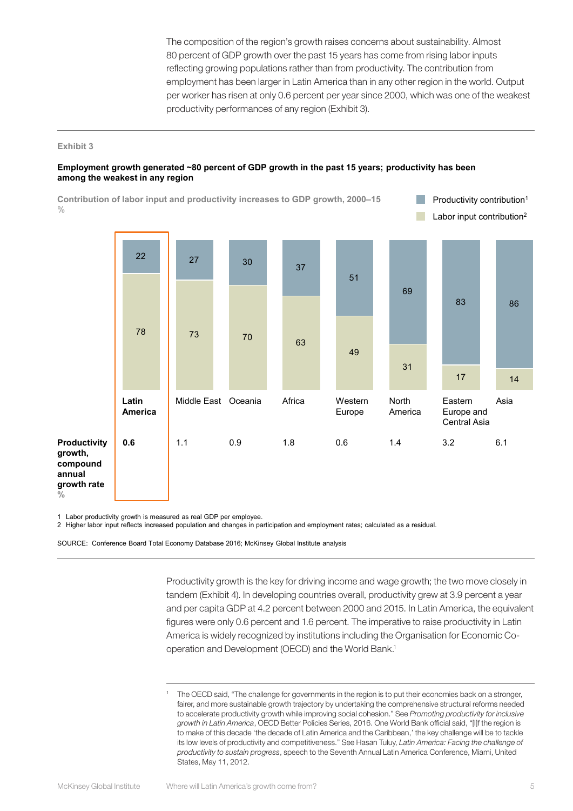The composition of the region's growth raises concerns about sustainability. Almost 80 percent of GDP growth over the past 15 years has come from rising labor inputs reflecting growing populations rather than from productivity. The contribution from employment has been larger in Latin America than in any other region in the world. Output per worker has risen at only 0.6 percent per year since 2000, which was one of the weakest productivity performances of any region (Exhibit 3).

## **Exhibit 3**

## **Employment growth generated ~80 percent of GDP growth in the past 15 years; productivity has been among the weakest in any region**

**Contribution of labor input and productivity increases to GDP growth, 2000–15** T. Productivity contribution1  $\frac{0}{0}$ Labor input contribution2  $22$  27 30 37 51 69 83 86 <sup>78</sup> <sup>73</sup> <sup>70</sup> <sup>63</sup> 49 31 17 14 **Latin**  Middle East Oceania Africa Western Asia North Eastern **America** Europe America Europe and Central Asia **Productivity 0.6** 1.1 0.9 1.8 0.6 1.4 3.2 6.1 **growth, compound annual growth rate %**

1 Labor productivity growth is measured as real GDP per employee.

2 Higher labor input reflects increased population and changes in participation and employment rates; calculated as a residual.

SOURCE: Conference Board Total Economy Database 2016; McKinsey Global Institute analysis

Productivity growth is the key for driving income and wage growth; the two move closely in tandem (Exhibit 4). In developing countries overall, productivity grew at 3.9 percent a year and per capita GDP at 4.2 percent between 2000 and 2015. In Latin America, the equivalent figures were only 0.6 percent and 1.6 percent. The imperative to raise productivity in Latin America is widely recognized by institutions including the Organisation for Economic Cooperation and Development (OECD) and the World Bank.1

The OECD said, "The challenge for governments in the region is to put their economies back on a stronger, fairer, and more sustainable growth trajectory by undertaking the comprehensive structural reforms needed to accelerate productivity growth while improving social cohesion." See *Promoting productivity for inclusive growth in Latin America*, OECD Better Policies Series, 2016. One World Bank official said, "[I]f the region is to make of this decade 'the decade of Latin America and the Caribbean,' the key challenge will be to tackle its low levels of productivity and competitiveness." See Hasan Tuluy, *Latin America: Facing the challenge of productivity to sustain progress*, speech to the Seventh Annual Latin America Conference, Miami, United States, May 11, 2012.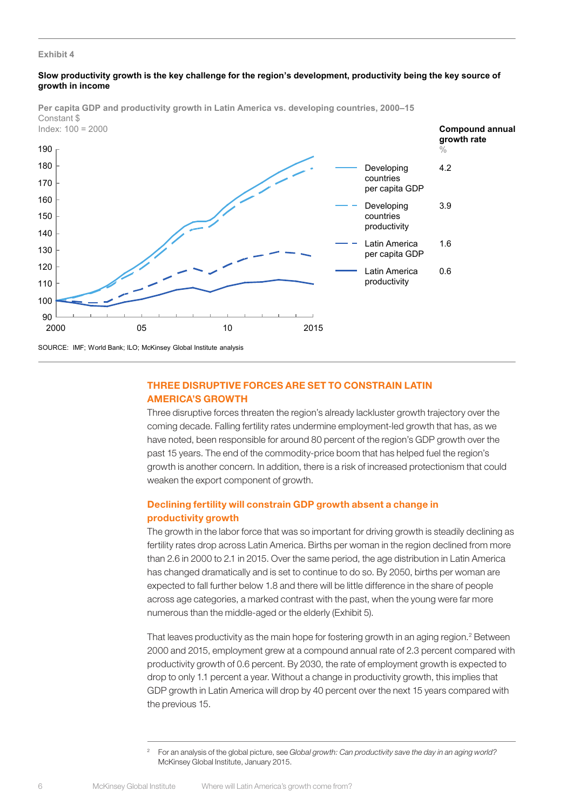## **Slow productivity growth is the key challenge for the region's development, productivity being the key source of growth in income**



**Per capita GDP and productivity growth in Latin America vs. developing countries, 2000–15** Constant \$

SOURCE: IMF; World Bank; ILO; McKinsey Global Institute analysis

## THREE DISRUPTIVE FORCES ARE SET TO CONSTRAIN LATIN AMERICA'S GROWTH

Three disruptive forces threaten the region's already lackluster growth trajectory over the coming decade. Falling fertility rates undermine employment-led growth that has, as we have noted, been responsible for around 80 percent of the region's GDP growth over the past 15 years. The end of the commodity-price boom that has helped fuel the region's growth is another concern. In addition, there is a risk of increased protectionism that could weaken the export component of growth.

## Declining fertility will constrain GDP growth absent a change in productivity growth

The growth in the labor force that was so important for driving growth is steadily declining as fertility rates drop across Latin America. Births per woman in the region declined from more than 2.6 in 2000 to 2.1 in 2015. Over the same period, the age distribution in Latin America has changed dramatically and is set to continue to do so. By 2050, births per woman are expected to fall further below 1.8 and there will be little difference in the share of people across age categories, a marked contrast with the past, when the young were far more numerous than the middle-aged or the elderly (Exhibit 5).

That leaves productivity as the main hope for fostering growth in an aging region.<sup>2</sup> Between 2000 and 2015, employment grew at a compound annual rate of 2.3 percent compared with productivity growth of 0.6 percent. By 2030, the rate of employment growth is expected to drop to only 1.1 percent a year. Without a change in productivity growth, this implies that GDP growth in Latin America will drop by 40 percent over the next 15 years compared with the previous 15.

<sup>2</sup> For an analysis of the global picture, see *Global growth: Can productivity save the day in an aging world?* McKinsey Global Institute, January 2015.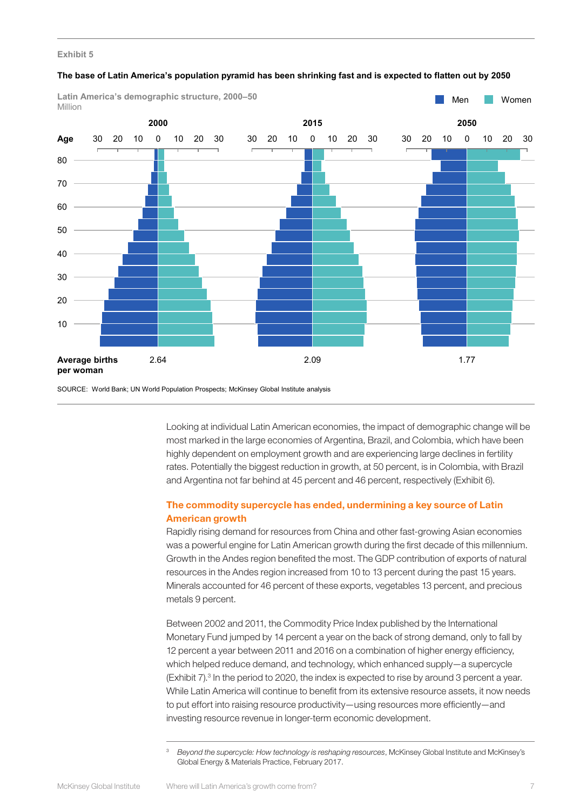| Latin America's demographic structure, 2000-50<br>Million |                                            |    |    |             |    |    |    |      |       |    |                |    |    | Men |                 |      |    |             | Women |    |    |
|-----------------------------------------------------------|--------------------------------------------|----|----|-------------|----|----|----|------|-------|----|----------------|----|----|-----|-----------------|------|----|-------------|-------|----|----|
|                                                           | 2000                                       |    |    |             |    |    |    | 2015 |       |    |                |    |    |     |                 | 2050 |    |             |       |    |    |
| Age                                                       | 30                                         | 20 | 10 | $\mathbf 0$ | 10 | 20 | 30 |      | 30 20 | 10 | $\overline{0}$ | 10 | 20 | 30  | 30 <sup>°</sup> | 20   | 10 | $\mathbf 0$ | 10    | 20 | 30 |
| 80                                                        |                                            |    |    |             |    |    |    |      |       |    |                |    |    |     |                 |      |    |             |       |    |    |
| $70\,$                                                    |                                            |    |    |             |    |    |    |      |       |    |                |    |    |     |                 |      |    |             |       |    |    |
| 60                                                        |                                            |    |    |             |    |    |    |      |       |    |                |    |    |     |                 |      |    |             |       |    |    |
| $50\,$                                                    |                                            |    |    |             |    |    |    |      |       |    |                |    |    |     |                 |      |    |             |       |    |    |
| 40                                                        |                                            |    |    |             |    |    |    |      |       |    |                |    |    |     |                 |      |    |             |       |    |    |
| $30\,$                                                    |                                            |    |    |             |    |    |    |      |       |    |                |    |    |     |                 |      |    |             |       |    |    |
| $20\,$                                                    |                                            |    |    |             |    |    |    |      |       |    |                |    |    |     |                 |      |    |             |       |    |    |
| $10\,$                                                    |                                            |    |    |             |    |    |    |      |       |    |                |    |    |     |                 |      |    |             |       |    |    |
|                                                           |                                            |    |    |             |    |    |    |      |       |    |                |    |    |     |                 |      |    |             |       |    |    |
|                                                           | <b>Average births</b><br>2.64<br>per woman |    |    |             |    |    |    | 2.09 |       |    |                |    |    |     | 1.77            |      |    |             |       |    |    |

#### **The base of Latin America's population pyramid has been shrinking fast and is expected to flatten out by 2050**

SOURCE: World Bank; UN World Population Prospects; McKinsey Global Institute analysis

Looking at individual Latin American economies, the impact of demographic change will be most marked in the large economies of Argentina, Brazil, and Colombia, which have been highly dependent on employment growth and are experiencing large declines in fertility rates. Potentially the biggest reduction in growth, at 50 percent, is in Colombia, with Brazil and Argentina not far behind at 45 percent and 46 percent, respectively (Exhibit 6).

## The commodity supercycle has ended, undermining a key source of Latin American growth

Rapidly rising demand for resources from China and other fast-growing Asian economies was a powerful engine for Latin American growth during the first decade of this millennium. Growth in the Andes region benefited the most. The GDP contribution of exports of natural resources in the Andes region increased from 10 to 13 percent during the past 15 years. Minerals accounted for 46 percent of these exports, vegetables 13 percent, and precious metals 9 percent.

Between 2002 and 2011, the Commodity Price Index published by the International Monetary Fund jumped by 14 percent a year on the back of strong demand, only to fall by 12 percent a year between 2011 and 2016 on a combination of higher energy efficiency, which helped reduce demand, and technology, which enhanced supply—a supercycle (Exhibit 7).<sup>3</sup> In the period to 2020, the index is expected to rise by around 3 percent a year. While Latin America will continue to benefit from its extensive resource assets, it now needs to put effort into raising resource productivity—using resources more efficiently—and investing resource revenue in longer-term economic development.

<sup>3</sup> *Beyond the supercycle: How technology is reshaping resources*, McKinsey Global Institute and McKinsey's Global Energy & Materials Practice, February 2017.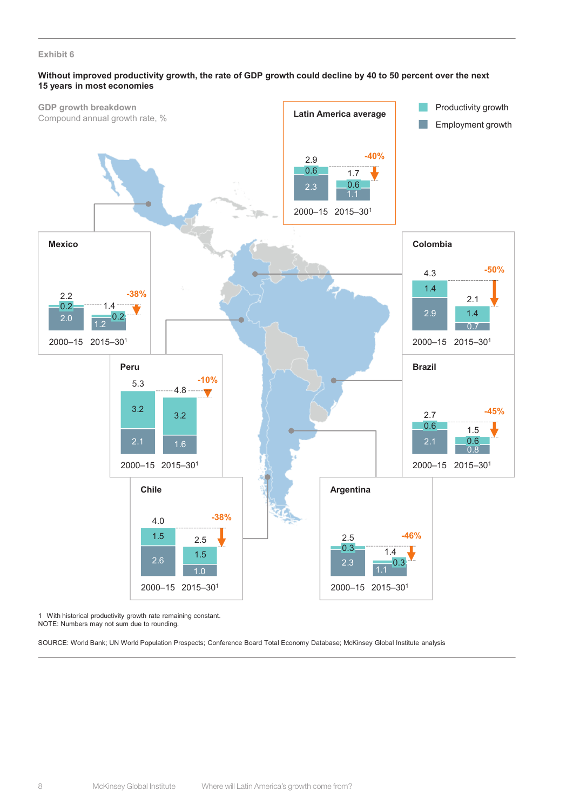## **Without improved productivity growth, the rate of GDP growth could decline by 40 to 50 percent over the next 15 years in most economies**



1 With historical productivity growth rate remaining constant.

NOTE: Numbers may not sum due to rounding.

SOURCE: World Bank; UN World Population Prospects; Conference Board Total Economy Database; McKinsey Global Institute analysis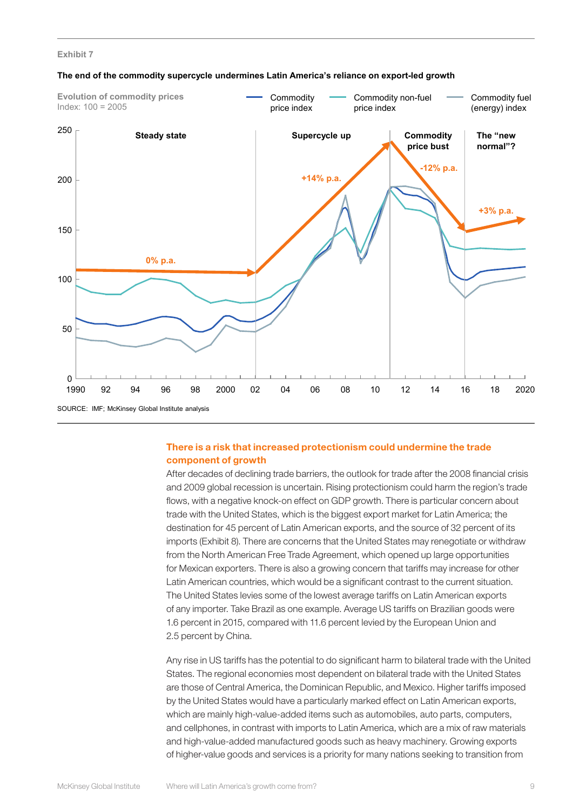

#### **The end of the commodity supercycle undermines Latin America's reliance on export-led growth**

## There is a risk that increased protectionism could undermine the trade component of growth

After decades of declining trade barriers, the outlook for trade after the 2008 financial crisis and 2009 global recession is uncertain. Rising protectionism could harm the region's trade flows, with a negative knock-on effect on GDP growth. There is particular concern about trade with the United States, which is the biggest export market for Latin America; the destination for 45 percent of Latin American exports, and the source of 32 percent of its imports (Exhibit 8). There are concerns that the United States may renegotiate or withdraw from the North American Free Trade Agreement, which opened up large opportunities for Mexican exporters. There is also a growing concern that tariffs may increase for other Latin American countries, which would be a significant contrast to the current situation. The United States levies some of the lowest average tariffs on Latin American exports of any importer. Take Brazil as one example. Average US tariffs on Brazilian goods were 1.6 percent in 2015, compared with 11.6 percent levied by the European Union and 2.5 percent by China.

Any rise in US tariffs has the potential to do significant harm to bilateral trade with the United States. The regional economies most dependent on bilateral trade with the United States are those of Central America, the Dominican Republic, and Mexico. Higher tariffs imposed by the United States would have a particularly marked effect on Latin American exports, which are mainly high-value-added items such as automobiles, auto parts, computers, and cellphones, in contrast with imports to Latin America, which are a mix of raw materials and high-value-added manufactured goods such as heavy machinery. Growing exports of higher-value goods and services is a priority for many nations seeking to transition from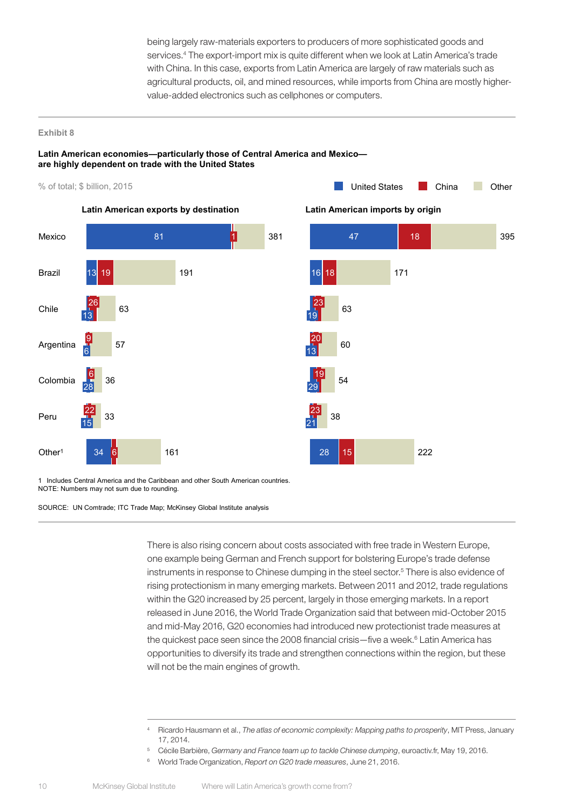being largely raw-materials exporters to producers of more sophisticated goods and services.<sup>4</sup> The export-import mix is quite different when we look at Latin America's trade with China. In this case, exports from Latin America are largely of raw materials such as agricultural products, oil, and mined resources, while imports from China are mostly highervalue-added electronics such as cellphones or computers.

#### **Exhibit 8**

## **Latin American economies—particularly those of Central America and Mexico are highly dependent on trade with the United States**





1 Includes Central America and the Caribbean and other South American countries. NOTE: Numbers may not sum due to rounding.

SOURCE: UN Comtrade; ITC Trade Map; McKinsey Global Institute analysis

There is also rising concern about costs associated with free trade in Western Europe, one example being German and French support for bolstering Europe's trade defense instruments in response to Chinese dumping in the steel sector.<sup>5</sup> There is also evidence of rising protectionism in many emerging markets. Between 2011 and 2012, trade regulations within the G20 increased by 25 percent, largely in those emerging markets. In a report released in June 2016, the World Trade Organization said that between mid-October 2015 and mid-May 2016, G20 economies had introduced new protectionist trade measures at the quickest pace seen since the 2008 financial crisis—five a week.<sup>6</sup> Latin America has opportunities to diversify its trade and strengthen connections within the region, but these will not be the main engines of growth.

<sup>4</sup> Ricardo Hausmann et al., *The atlas of economic complexity: Mapping paths to prosperity*, MIT Press, January 17, 2014.

<sup>5</sup> Cécile Barbière, *Germany and France team up to tackle Chinese dumping*, euroactiv.fr, May 19, 2016.

<sup>6</sup> World Trade Organization, *Report on G20 trade measures*, June 21, 2016.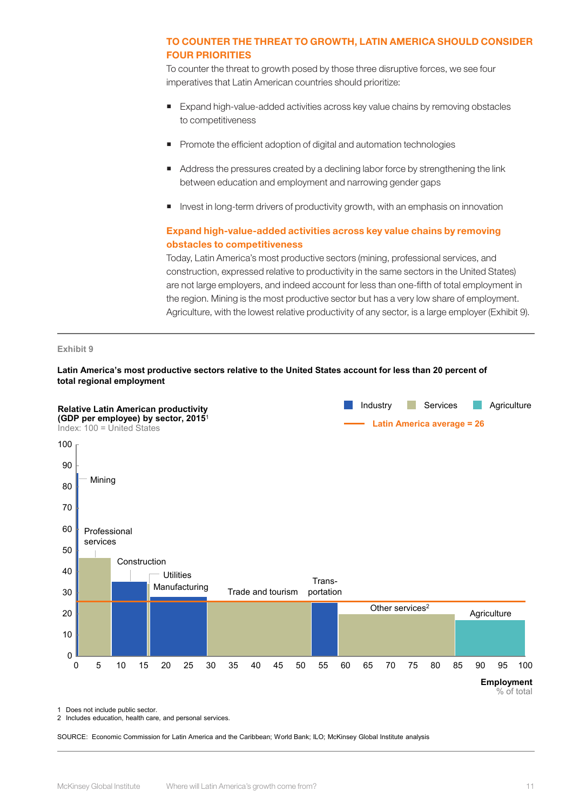## TO COUNTER THE THREAT TO GROWTH, LATIN AMERICA SHOULD CONSIDER FOUR PRIORITIES

To counter the threat to growth posed by those three disruptive forces, we see four imperatives that Latin American countries should prioritize:

- Expand high-value-added activities across key value chains by removing obstacles to competitiveness
- **Promote the efficient adoption of digital and automation technologies**
- Address the pressures created by a declining labor force by strengthening the link between education and employment and narrowing gender gaps
- Invest in long-term drivers of productivity growth, with an emphasis on innovation

## Expand high-value-added activities across key value chains by removing obstacles to competitiveness

Today, Latin America's most productive sectors (mining, professional services, and construction, expressed relative to productivity in the same sectors in the United States) are not large employers, and indeed account for less than one-fifth of total employment in the region. Mining is the most productive sector but has a very low share of employment. Agriculture, with the lowest relative productivity of any sector, is a large employer (Exhibit 9).

## **Exhibit 9**

## **Latin America's most productive sectors relative to the United States account for less than 20 percent of total regional employment**



1 Does not include public sector.

2 Includes education, health care, and personal services.

SOURCE: Economic Commission for Latin America and the Caribbean; World Bank; ILO; McKinsey Global Institute analysis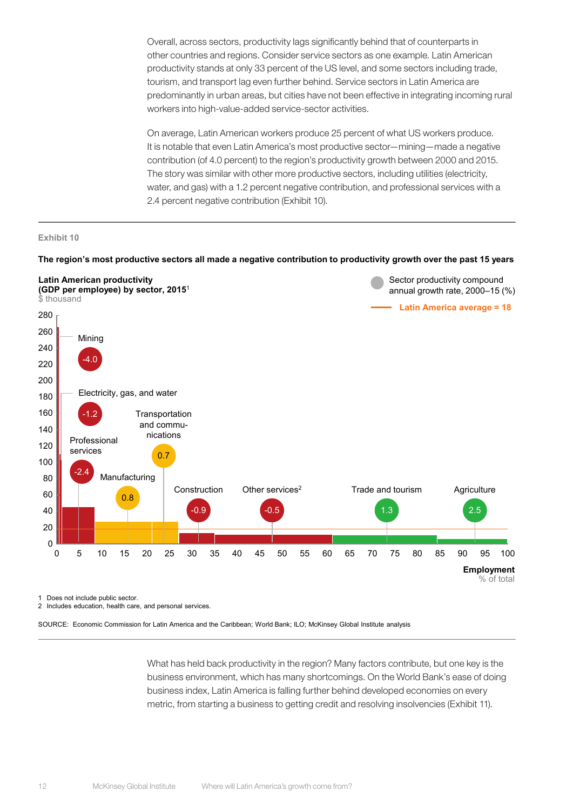Overall, across sectors, productivity lags significantly behind that of counterparts in other countries and regions. Consider service sectors as one example. Latin American productivity stands at only 33 percent of the US level, and some sectors including trade, tourism, and transport lag even further behind. Service sectors in Latin America are predominantly in urban areas, but cities have not been effective in integrating incoming rural workers into high-value-added service-sector activities.

On average, Latin American workers produce 25 percent of what US workers produce. It is notable that even Latin America's most productive sector—mining—made a negative contribution (of 4.0 percent) to the region's productivity growth between 2000 and 2015. The story was similar with other more productive sectors, including utilities (electricity, water, and gas) with a 1.2 percent negative contribution, and professional services with a 2.4 percent negative contribution (Exhibit 10).

#### **Exhibit 10**

#### **The region's most productive sectors all made a negative contribution to productivity growth over the past 15 years**



1 Does not include public sector.

2 Includes education, health care, and personal services.

SOURCE: Economic Commission for Latin America and the Caribbean; World Bank; ILO; McKinsey Global Institute analysis

What has held back productivity in the region? Many factors contribute, but one key is the business environment, which has many shortcomings. On the World Bank's ease of doing business index, Latin America is falling further behind developed economies on every metric, from starting a business to getting credit and resolving insolvencies (Exhibit 11).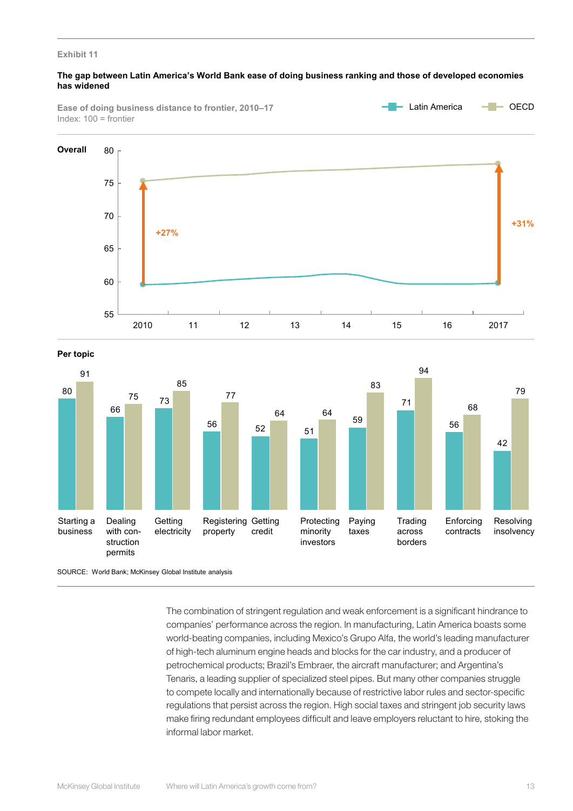## **The gap between Latin America's World Bank ease of doing business ranking and those of developed economies has widened**

**Ease of doing business distance to frontier, 2010–17** Index: 100 = frontier





**Per topic**



SOURCE: World Bank; McKinsey Global Institute analysis

The combination of stringent regulation and weak enforcement is a significant hindrance to companies' performance across the region. In manufacturing, Latin America boasts some world-beating companies, including Mexico's Grupo Alfa, the world's leading manufacturer of high-tech aluminum engine heads and blocks for the car industry, and a producer of petrochemical products; Brazil's Embraer, the aircraft manufacturer; and Argentina's Tenaris, a leading supplier of specialized steel pipes. But many other companies struggle to compete locally and internationally because of restrictive labor rules and sector-specific regulations that persist across the region. High social taxes and stringent job security laws make firing redundant employees difficult and leave employers reluctant to hire, stoking the informal labor market.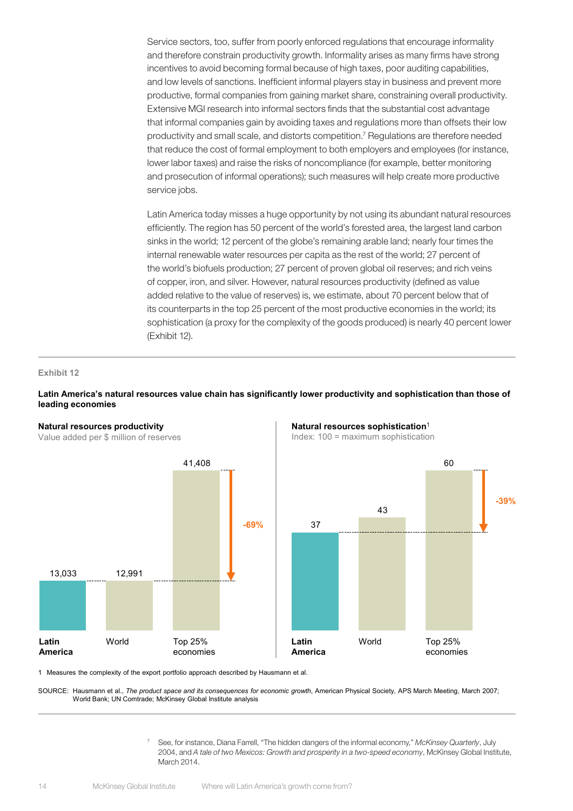Service sectors, too, suffer from poorly enforced regulations that encourage informality and therefore constrain productivity growth. Informality arises as many firms have strong incentives to avoid becoming formal because of high taxes, poor auditing capabilities, and low levels of sanctions. Inefficient informal players stay in business and prevent more productive, formal companies from gaining market share, constraining overall productivity. Extensive MGI research into informal sectors finds that the substantial cost advantage that informal companies gain by avoiding taxes and regulations more than offsets their low productivity and small scale, and distorts competition.7 Regulations are therefore needed that reduce the cost of formal employment to both employers and employees (for instance, lower labor taxes) and raise the risks of noncompliance (for example, better monitoring and prosecution of informal operations); such measures will help create more productive service jobs.

Latin America today misses a huge opportunity by not using its abundant natural resources efficiently. The region has 50 percent of the world's forested area, the largest land carbon sinks in the world; 12 percent of the globe's remaining arable land; nearly four times the internal renewable water resources per capita as the rest of the world; 27 percent of the world's biofuels production; 27 percent of proven global oil reserves; and rich veins of copper, iron, and silver. However, natural resources productivity (defined as value added relative to the value of reserves) is, we estimate, about 70 percent below that of its counterparts in the top 25 percent of the most productive economies in the world; its sophistication (a proxy for the complexity of the goods produced) is nearly 40 percent lower (Exhibit 12).

#### **Exhibit 12**

## **Latin America's natural resources value chain has significantly lower productivity and sophistication than those of leading economies**



**Natural resources sophistication**<sup>1</sup>

**-39%**

1 Measures the complexity of the export portfolio approach described by Hausmann et al.

SOURCE: Hausmann et al., *The product space and its consequences for economic growth*, American Physical Society, APS March Meeting, March 2007; World Bank; UN Comtrade; McKinsey Global Institute analysis

> <sup>7</sup> See, for instance, Diana Farrell, "The hidden dangers of the informal economy," *McKinsey Quarterly*, July 2004, and *A tale of two Mexicos: Growth and prosperity in a two-speed economy*, McKinsey Global Institute, March 2014.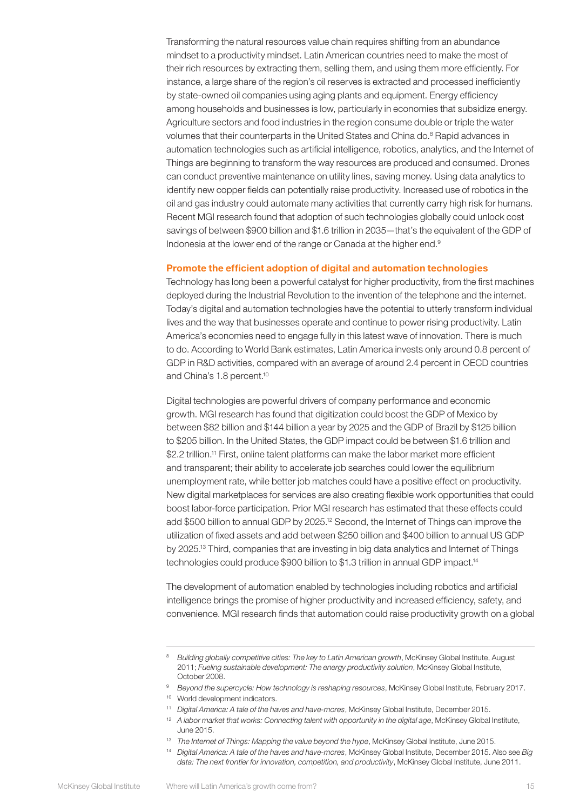Transforming the natural resources value chain requires shifting from an abundance mindset to a productivity mindset. Latin American countries need to make the most of their rich resources by extracting them, selling them, and using them more efficiently. For instance, a large share of the region's oil reserves is extracted and processed inefficiently by state-owned oil companies using aging plants and equipment. Energy efficiency among households and businesses is low, particularly in economies that subsidize energy. Agriculture sectors and food industries in the region consume double or triple the water volumes that their counterparts in the United States and China do.<sup>8</sup> Rapid advances in automation technologies such as artificial intelligence, robotics, analytics, and the Internet of Things are beginning to transform the way resources are produced and consumed. Drones can conduct preventive maintenance on utility lines, saving money. Using data analytics to identify new copper fields can potentially raise productivity. Increased use of robotics in the oil and gas industry could automate many activities that currently carry high risk for humans. Recent MGI research found that adoption of such technologies globally could unlock cost savings of between \$900 billion and \$1.6 trillion in 2035—that's the equivalent of the GDP of Indonesia at the lower end of the range or Canada at the higher end.<sup>9</sup>

## Promote the efficient adoption of digital and automation technologies

Technology has long been a powerful catalyst for higher productivity, from the first machines deployed during the Industrial Revolution to the invention of the telephone and the internet. Today's digital and automation technologies have the potential to utterly transform individual lives and the way that businesses operate and continue to power rising productivity. Latin America's economies need to engage fully in this latest wave of innovation. There is much to do. According to World Bank estimates, Latin America invests only around 0.8 percent of GDP in R&D activities, compared with an average of around 2.4 percent in OECD countries and China's 1.8 percent.<sup>10</sup>

Digital technologies are powerful drivers of company performance and economic growth. MGI research has found that digitization could boost the GDP of Mexico by between \$82 billion and \$144 billion a year by 2025 and the GDP of Brazil by \$125 billion to \$205 billion. In the United States, the GDP impact could be between \$1.6 trillion and \$2.2 trillion.<sup>11</sup> First, online talent platforms can make the labor market more efficient and transparent; their ability to accelerate job searches could lower the equilibrium unemployment rate, while better job matches could have a positive effect on productivity. New digital marketplaces for services are also creating flexible work opportunities that could boost labor-force participation. Prior MGI research has estimated that these effects could add \$500 billion to annual GDP by 2025.<sup>12</sup> Second, the Internet of Things can improve the utilization of fixed assets and add between \$250 billion and \$400 billion to annual US GDP by 2025.13 Third, companies that are investing in big data analytics and Internet of Things technologies could produce \$900 billion to \$1.3 trillion in annual GDP impact.<sup>14</sup>

The development of automation enabled by technologies including robotics and artificial intelligence brings the promise of higher productivity and increased efficiency, safety, and convenience. MGI research finds that automation could raise productivity growth on a global

<sup>&</sup>lt;sup>8</sup> Building globally competitive cities: The key to Latin American growth, McKinsey Global Institute, August 2011; *Fueling sustainable development: The energy productivity solution*, McKinsey Global Institute, October 2008.

<sup>&</sup>lt;sup>9</sup> *Beyond the supercycle: How technology is reshaping resources*, McKinsey Global Institute, February 2017.

<sup>10</sup> World development indicators.

<sup>11</sup> *Digital America: A tale of the haves and have-mores*, McKinsey Global Institute, December 2015.

<sup>&</sup>lt;sup>12</sup> A labor market that works: Connecting talent with opportunity in the digital age, McKinsey Global Institute, June 2015.

<sup>13</sup> *The Internet of Things: Mapping the value beyond the hype*, McKinsey Global Institute, June 2015.

<sup>14</sup> *Digital America: A tale of the haves and have-mores*, McKinsey Global Institute, December 2015. Also see *Big data: The next frontier for innovation, competition, and productivity*, McKinsey Global Institute, June 2011.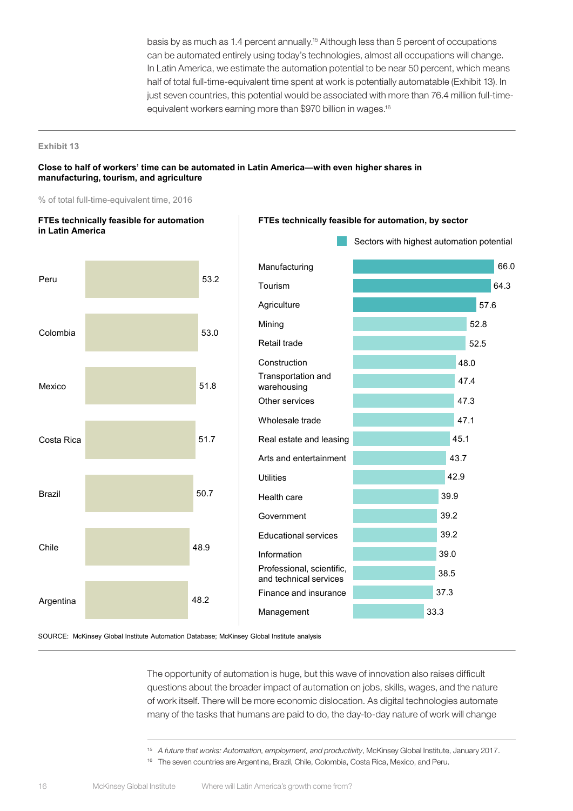basis by as much as 1.4 percent annually.15 Although less than 5 percent of occupations can be automated entirely using today's technologies, almost all occupations will change. In Latin America, we estimate the automation potential to be near 50 percent, which means half of total full-time-equivalent time spent at work is potentially automatable (Exhibit 13). In just seven countries, this potential would be associated with more than 76.4 million full-timeequivalent workers earning more than \$970 billion in wages.16

#### **Exhibit 13**

### **Close to half of workers' time can be automated in Latin America—with even higher shares in manufacturing, tourism, and agriculture**

% of total full-time-equivalent time, 2016

**FTEs technically feasible for automation** 



## **FTEs technically feasible for automation, by sector**

SOURCE: McKinsey Global Institute Automation Database; McKinsey Global Institute analysis

The opportunity of automation is huge, but this wave of innovation also raises difficult questions about the broader impact of automation on jobs, skills, wages, and the nature of work itself. There will be more economic dislocation. As digital technologies automate many of the tasks that humans are paid to do, the day-to-day nature of work will change

<sup>15</sup> *A future that works: Automation, employment, and productivity*, McKinsey Global Institute, January 2017.

<sup>&</sup>lt;sup>16</sup> The seven countries are Argentina, Brazil, Chile, Colombia, Costa Rica, Mexico, and Peru.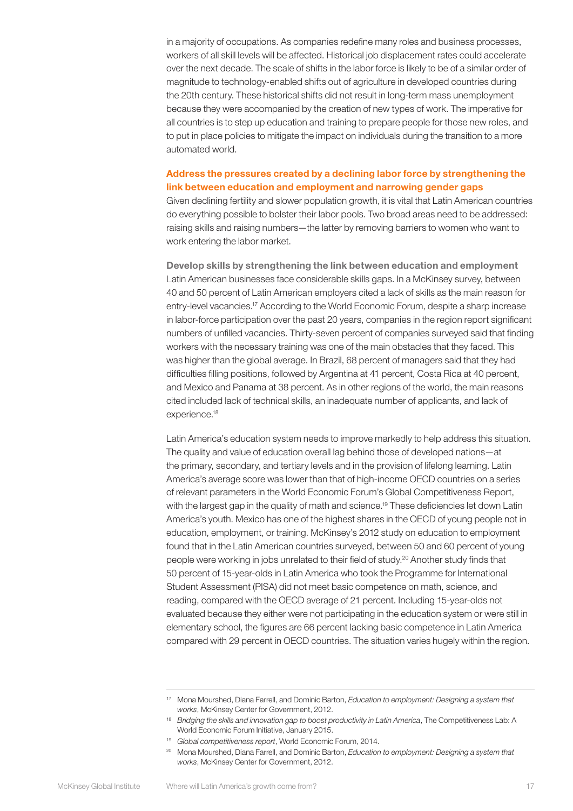in a majority of occupations. As companies redefine many roles and business processes, workers of all skill levels will be affected. Historical job displacement rates could accelerate over the next decade. The scale of shifts in the labor force is likely to be of a similar order of magnitude to technology-enabled shifts out of agriculture in developed countries during the 20th century. These historical shifts did not result in long-term mass unemployment because they were accompanied by the creation of new types of work. The imperative for all countries is to step up education and training to prepare people for those new roles, and to put in place policies to mitigate the impact on individuals during the transition to a more automated world.

## Address the pressures created by a declining labor force by strengthening the link between education and employment and narrowing gender gaps

Given declining fertility and slower population growth, it is vital that Latin American countries do everything possible to bolster their labor pools. Two broad areas need to be addressed: raising skills and raising numbers—the latter by removing barriers to women who want to work entering the labor market.

Develop skills by strengthening the link between education and employment Latin American businesses face considerable skills gaps. In a McKinsey survey, between 40 and 50 percent of Latin American employers cited a lack of skills as the main reason for entry-level vacancies.17 According to the World Economic Forum, despite a sharp increase in labor-force participation over the past 20 years, companies in the region report significant numbers of unfilled vacancies. Thirty-seven percent of companies surveyed said that finding workers with the necessary training was one of the main obstacles that they faced. This was higher than the global average. In Brazil, 68 percent of managers said that they had difficulties filling positions, followed by Argentina at 41 percent, Costa Rica at 40 percent, and Mexico and Panama at 38 percent. As in other regions of the world, the main reasons cited included lack of technical skills, an inadequate number of applicants, and lack of experience.<sup>18</sup>

Latin America's education system needs to improve markedly to help address this situation. The quality and value of education overall lag behind those of developed nations—at the primary, secondary, and tertiary levels and in the provision of lifelong learning. Latin America's average score was lower than that of high-income OECD countries on a series of relevant parameters in the World Economic Forum's Global Competitiveness Report, with the largest gap in the quality of math and science.<sup>19</sup> These deficiencies let down Latin America's youth. Mexico has one of the highest shares in the OECD of young people not in education, employment, or training. McKinsey's 2012 study on education to employment found that in the Latin American countries surveyed, between 50 and 60 percent of young people were working in jobs unrelated to their field of study.<sup>20</sup> Another study finds that 50 percent of 15-year-olds in Latin America who took the Programme for International Student Assessment (PISA) did not meet basic competence on math, science, and reading, compared with the OECD average of 21 percent. Including 15-year-olds not evaluated because they either were not participating in the education system or were still in elementary school, the figures are 66 percent lacking basic competence in Latin America compared with 29 percent in OECD countries. The situation varies hugely within the region.

<sup>17</sup> Mona Mourshed, Diana Farrell, and Dominic Barton, *Education to employment: Designing a system that works*, McKinsey Center for Government, 2012.

<sup>&</sup>lt;sup>18</sup> *Bridging the skills and innovation gap to boost productivity in Latin America*, The Competitiveness Lab: A World Economic Forum Initiative, January 2015.

<sup>19</sup> *Global competitiveness report*, World Economic Forum, 2014.

<sup>20</sup> Mona Mourshed, Diana Farrell, and Dominic Barton, *Education to employment: Designing a system that works*, McKinsey Center for Government, 2012.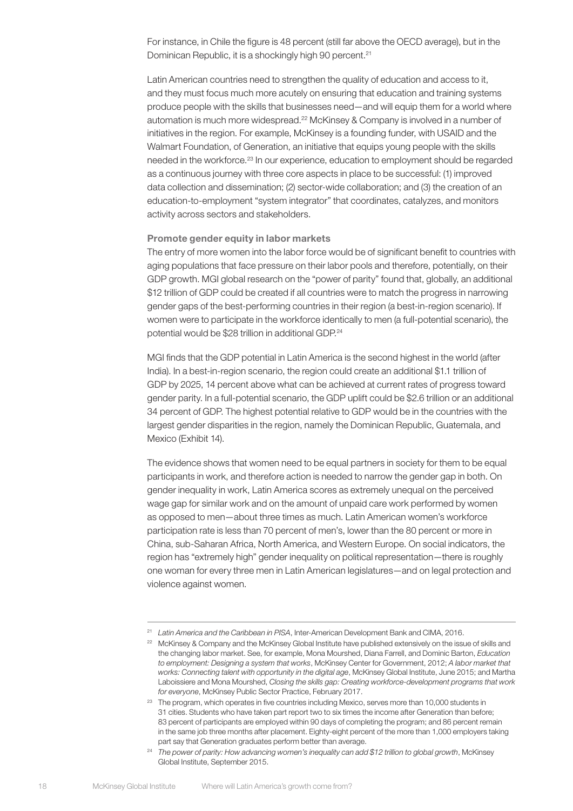For instance, in Chile the figure is 48 percent (still far above the OECD average), but in the Dominican Republic, it is a shockingly high 90 percent.<sup>21</sup>

Latin American countries need to strengthen the quality of education and access to it, and they must focus much more acutely on ensuring that education and training systems produce people with the skills that businesses need—and will equip them for a world where automation is much more widespread.<sup>22</sup> McKinsey & Company is involved in a number of initiatives in the region. For example, McKinsey is a founding funder, with USAID and the Walmart Foundation, of Generation, an initiative that equips young people with the skills needed in the workforce.23 In our experience, education to employment should be regarded as a continuous journey with three core aspects in place to be successful: (1) improved data collection and dissemination; (2) sector-wide collaboration; and (3) the creation of an education-to-employment "system integrator" that coordinates, catalyzes, and monitors activity across sectors and stakeholders.

## Promote gender equity in labor markets

The entry of more women into the labor force would be of significant benefit to countries with aging populations that face pressure on their labor pools and therefore, potentially, on their GDP growth. MGI global research on the "power of parity" found that, globally, an additional \$12 trillion of GDP could be created if all countries were to match the progress in narrowing gender gaps of the best-performing countries in their region (a best-in-region scenario). If women were to participate in the workforce identically to men (a full-potential scenario), the potential would be \$28 trillion in additional GDP.<sup>24</sup>

MGI finds that the GDP potential in Latin America is the second highest in the world (after India). In a best-in-region scenario, the region could create an additional \$1.1 trillion of GDP by 2025, 14 percent above what can be achieved at current rates of progress toward gender parity. In a full-potential scenario, the GDP uplift could be \$2.6 trillion or an additional 34 percent of GDP. The highest potential relative to GDP would be in the countries with the largest gender disparities in the region, namely the Dominican Republic, Guatemala, and Mexico (Exhibit 14).

The evidence shows that women need to be equal partners in society for them to be equal participants in work, and therefore action is needed to narrow the gender gap in both. On gender inequality in work, Latin America scores as extremely unequal on the perceived wage gap for similar work and on the amount of unpaid care work performed by women as opposed to men—about three times as much. Latin American women's workforce participation rate is less than 70 percent of men's, lower than the 80 percent or more in China, sub-Saharan Africa, North America, and Western Europe. On social indicators, the region has "extremely high" gender inequality on political representation—there is roughly one woman for every three men in Latin American legislatures—and on legal protection and violence against women.

<sup>21</sup> *Latin America and the Caribbean in PISA*, Inter-American Development Bank and CIMA, 2016.

<sup>&</sup>lt;sup>22</sup> McKinsey & Company and the McKinsey Global Institute have published extensively on the issue of skills and the changing labor market. See, for example, Mona Mourshed, Diana Farrell, and Dominic Barton, *Education to employment: Designing a system that works*, McKinsey Center for Government, 2012; *A labor market that works: Connecting talent with opportunity in the digital age*, McKinsey Global Institute, June 2015; and Martha Laboissiere and Mona Mourshed, *Closing the skills gap: Creating workforce-development programs that work for everyone*, McKinsey Public Sector Practice, February 2017.

<sup>&</sup>lt;sup>23</sup> The program, which operates in five countries including Mexico, serves more than 10,000 students in 31 cities. Students who have taken part report two to six times the income after Generation than before; 83 percent of participants are employed within 90 days of completing the program; and 86 percent remain in the same job three months after placement. Eighty-eight percent of the more than 1,000 employers taking part say that Generation graduates perform better than average.

<sup>24</sup> *The power of parity: How advancing women's inequality can add \$12 trillion to global growth*, McKinsey Global Institute, September 2015.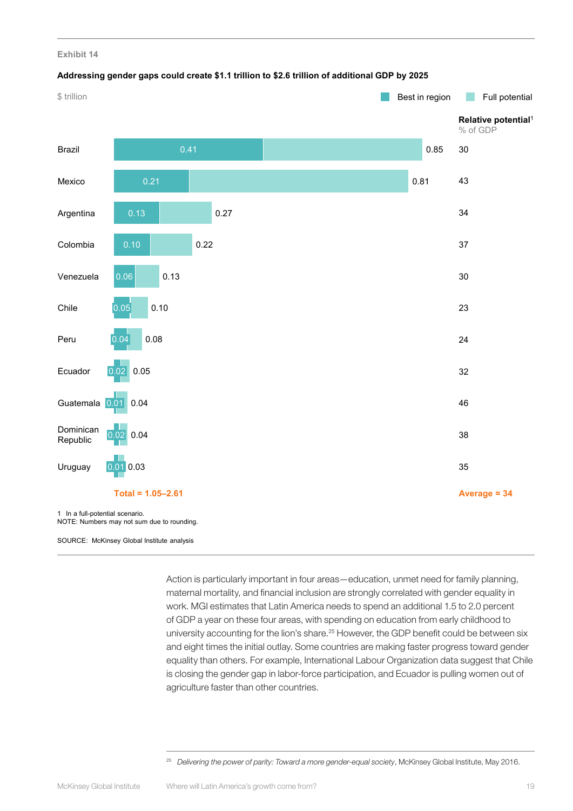### **Addressing gender gaps could create \$1.1 trillion to \$2.6 trillion of additional GDP by 2025**



SOURCE: McKinsey Global Institute analysis

Action is particularly important in four areas—education, unmet need for family planning, maternal mortality, and financial inclusion are strongly correlated with gender equality in work. MGI estimates that Latin America needs to spend an additional 1.5 to 2.0 percent of GDP a year on these four areas, with spending on education from early childhood to university accounting for the lion's share.<sup>25</sup> However, the GDP benefit could be between six and eight times the initial outlay. Some countries are making faster progress toward gender equality than others. For example, International Labour Organization data suggest that Chile is closing the gender gap in labor-force participation, and Ecuador is pulling women out of agriculture faster than other countries.

<sup>&</sup>lt;sup>25</sup> Delivering the power of parity: Toward a more gender-equal society, McKinsey Global Institute, May 2016.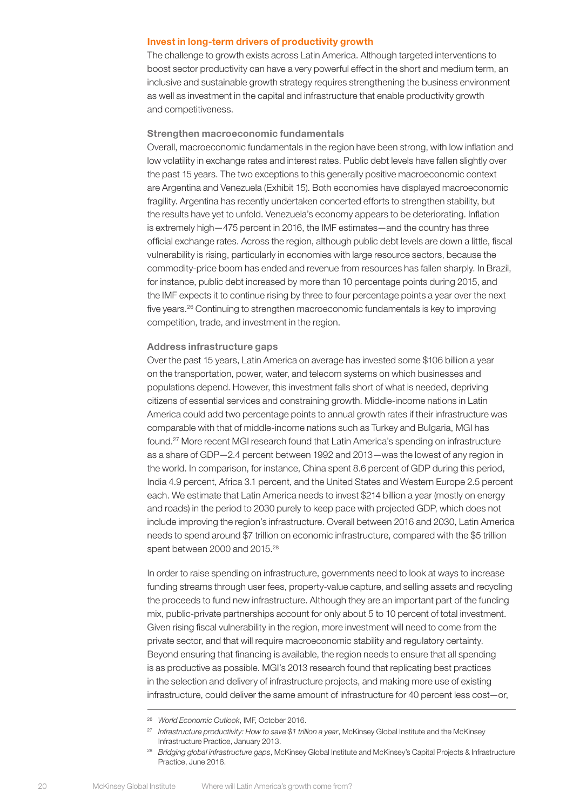## Invest in long-term drivers of productivity growth

The challenge to growth exists across Latin America. Although targeted interventions to boost sector productivity can have a very powerful effect in the short and medium term, an inclusive and sustainable growth strategy requires strengthening the business environment as well as investment in the capital and infrastructure that enable productivity growth and competitiveness.

## Strengthen macroeconomic fundamentals

Overall, macroeconomic fundamentals in the region have been strong, with low inflation and low volatility in exchange rates and interest rates. Public debt levels have fallen slightly over the past 15 years. The two exceptions to this generally positive macroeconomic context are Argentina and Venezuela (Exhibit 15). Both economies have displayed macroeconomic fragility. Argentina has recently undertaken concerted efforts to strengthen stability, but the results have yet to unfold. Venezuela's economy appears to be deteriorating. Inflation is extremely high—475 percent in 2016, the IMF estimates—and the country has three official exchange rates. Across the region, although public debt levels are down a little, fiscal vulnerability is rising, particularly in economies with large resource sectors, because the commodity-price boom has ended and revenue from resources has fallen sharply. In Brazil, for instance, public debt increased by more than 10 percentage points during 2015, and the IMF expects it to continue rising by three to four percentage points a year over the next five years.26 Continuing to strengthen macroeconomic fundamentals is key to improving competition, trade, and investment in the region.

## Address infrastructure gaps

Over the past 15 years, Latin America on average has invested some \$106 billion a year on the transportation, power, water, and telecom systems on which businesses and populations depend. However, this investment falls short of what is needed, depriving citizens of essential services and constraining growth. Middle-income nations in Latin America could add two percentage points to annual growth rates if their infrastructure was comparable with that of middle-income nations such as Turkey and Bulgaria, MGI has found.27 More recent MGI research found that Latin America's spending on infrastructure as a share of GDP—2.4 percent between 1992 and 2013—was the lowest of any region in the world. In comparison, for instance, China spent 8.6 percent of GDP during this period, India 4.9 percent, Africa 3.1 percent, and the United States and Western Europe 2.5 percent each. We estimate that Latin America needs to invest \$214 billion a year (mostly on energy and roads) in the period to 2030 purely to keep pace with projected GDP, which does not include improving the region's infrastructure. Overall between 2016 and 2030, Latin America needs to spend around \$7 trillion on economic infrastructure, compared with the \$5 trillion spent between 2000 and 2015.<sup>28</sup>

In order to raise spending on infrastructure, governments need to look at ways to increase funding streams through user fees, property-value capture, and selling assets and recycling the proceeds to fund new infrastructure. Although they are an important part of the funding mix, public-private partnerships account for only about 5 to 10 percent of total investment. Given rising fiscal vulnerability in the region, more investment will need to come from the private sector, and that will require macroeconomic stability and regulatory certainty. Beyond ensuring that financing is available, the region needs to ensure that all spending is as productive as possible. MGI's 2013 research found that replicating best practices in the selection and delivery of infrastructure projects, and making more use of existing infrastructure, could deliver the same amount of infrastructure for 40 percent less cost—or,

<sup>26</sup> *World Economic Outlook*, IMF, October 2016.

<sup>27</sup> *Infrastructure productivity: How to save \$1 trillion a year*, McKinsey Global Institute and the McKinsey Infrastructure Practice, January 2013.

<sup>28</sup> *Bridging global infrastructure gaps*, McKinsey Global Institute and McKinsey's Capital Projects & Infrastructure Practice, June 2016.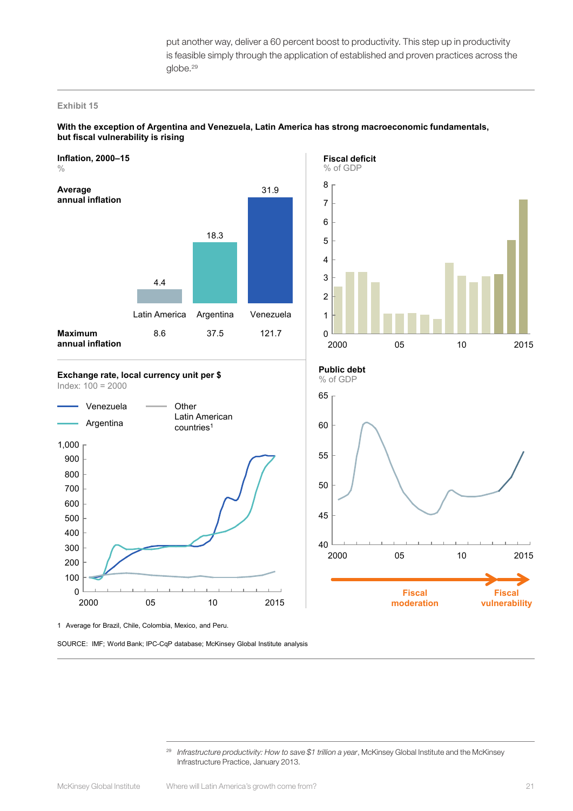put another way, deliver a 60 percent boost to productivity. This step up in productivity is feasible simply through the application of established and proven practices across the globe.<sup>29</sup>

#### **Exhibit 15**



## **With the exception of Argentina and Venezuela, Latin America has strong macroeconomic fundamentals, but fiscal vulnerability is rising**



**Fiscal moderation**

**Exchange rate, local currency unit per \$** Index: 100 = 2000



 $40 \downarrow$ <br>2000 2000 05 10 2015

55

65

60

50

45

1 Average for Brazil, Chile, Colombia, Mexico, and Peru.

SOURCE: IMF; World Bank; IPC-CqP database; McKinsey Global Institute analysis

**Fiscal vulnerability**

<sup>29</sup> *Infrastructure productivity: How to save \$1 trillion a year*, McKinsey Global Institute and the McKinsey Infrastructure Practice, January 2013.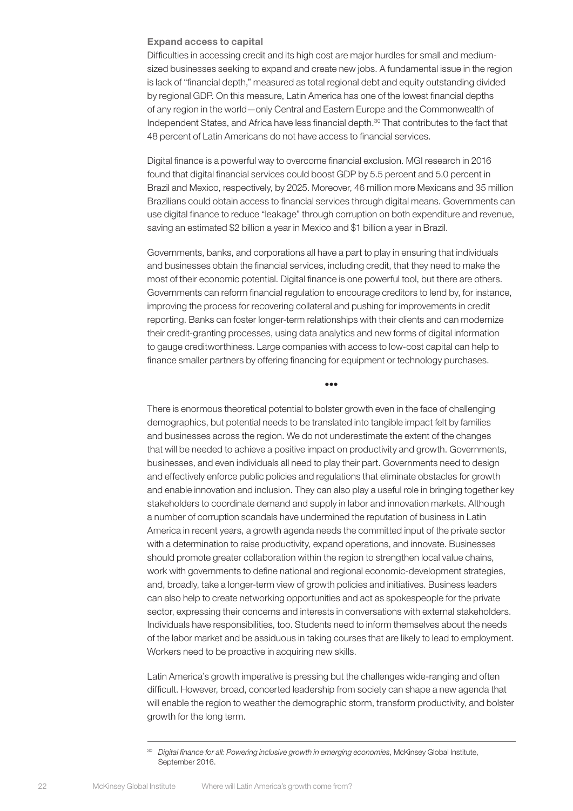## Expand access to capital

Difficulties in accessing credit and its high cost are major hurdles for small and mediumsized businesses seeking to expand and create new jobs. A fundamental issue in the region is lack of "financial depth," measured as total regional debt and equity outstanding divided by regional GDP. On this measure, Latin America has one of the lowest financial depths of any region in the world—only Central and Eastern Europe and the Commonwealth of Independent States, and Africa have less financial depth.<sup>30</sup> That contributes to the fact that 48 percent of Latin Americans do not have access to financial services.

Digital finance is a powerful way to overcome financial exclusion. MGI research in 2016 found that digital financial services could boost GDP by 5.5 percent and 5.0 percent in Brazil and Mexico, respectively, by 2025. Moreover, 46 million more Mexicans and 35 million Brazilians could obtain access to financial services through digital means. Governments can use digital finance to reduce "leakage" through corruption on both expenditure and revenue, saving an estimated \$2 billion a year in Mexico and \$1 billion a year in Brazil.

Governments, banks, and corporations all have a part to play in ensuring that individuals and businesses obtain the financial services, including credit, that they need to make the most of their economic potential. Digital finance is one powerful tool, but there are others. Governments can reform financial regulation to encourage creditors to lend by, for instance, improving the process for recovering collateral and pushing for improvements in credit reporting. Banks can foster longer-term relationships with their clients and can modernize their credit-granting processes, using data analytics and new forms of digital information to gauge creditworthiness. Large companies with access to low-cost capital can help to finance smaller partners by offering financing for equipment or technology purchases.

•••

There is enormous theoretical potential to bolster growth even in the face of challenging demographics, but potential needs to be translated into tangible impact felt by families and businesses across the region. We do not underestimate the extent of the changes that will be needed to achieve a positive impact on productivity and growth. Governments, businesses, and even individuals all need to play their part. Governments need to design and effectively enforce public policies and regulations that eliminate obstacles for growth and enable innovation and inclusion. They can also play a useful role in bringing together key stakeholders to coordinate demand and supply in labor and innovation markets. Although a number of corruption scandals have undermined the reputation of business in Latin America in recent years, a growth agenda needs the committed input of the private sector with a determination to raise productivity, expand operations, and innovate. Businesses should promote greater collaboration within the region to strengthen local value chains, work with governments to define national and regional economic-development strategies, and, broadly, take a longer-term view of growth policies and initiatives. Business leaders can also help to create networking opportunities and act as spokespeople for the private sector, expressing their concerns and interests in conversations with external stakeholders. Individuals have responsibilities, too. Students need to inform themselves about the needs of the labor market and be assiduous in taking courses that are likely to lead to employment. Workers need to be proactive in acquiring new skills.

Latin America's growth imperative is pressing but the challenges wide-ranging and often difficult. However, broad, concerted leadership from society can shape a new agenda that will enable the region to weather the demographic storm, transform productivity, and bolster growth for the long term.

<sup>30</sup> *Digital finance for all: Powering inclusive growth in emerging economies*, McKinsey Global Institute, September 2016.